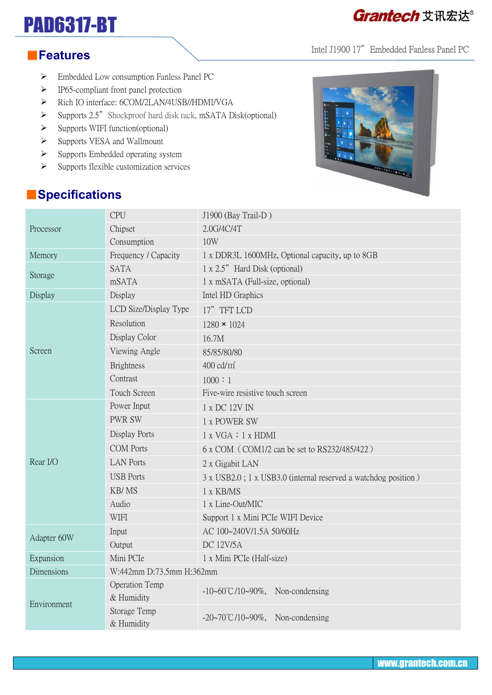# PAD6317-BT

## Grantech 艾讯宏达®

Intel J1900 17" Embedded Fanless Panel PC

#### ■**Features**

- Embedded Low consumption Fanless Panel PC
- $\triangleright$  IP65-compliant front panel protection
- > Rich IO interface: 6COM/2LAN/4USB//HDMI/VGA
- $\triangleright$  Supports 2.5" Shockproof hard disk rack, mSATA Disk(optional)
- $\triangleright$  Supports WIFI function(optional)
- $\triangleright$  Supports VESA and Wallmount
- $\triangleright$  Supports Embedded operating system
- $\triangleright$  Supports flexible customization services



### ■**Specifications**

| Processor   | <b>CPU</b>                   | J1900 (Bay Trail-D)                                            |  |
|-------------|------------------------------|----------------------------------------------------------------|--|
|             | Chipset                      | 2.0G/4C/4T                                                     |  |
|             | Consumption                  | 10W                                                            |  |
| Memory      | Frequency / Capacity         | 1 x DDR3L 1600MHz, Optional capacity, up to 8GB                |  |
| Storage     | <b>SATA</b>                  | 1 x 2.5" Hard Disk (optional)                                  |  |
|             | mSATA                        | 1 x mSATA (Full-size, optional)                                |  |
| Display     | Display                      | Intel HD Graphics                                              |  |
| Screen      | LCD Size/Display Type        | 17" TFT LCD                                                    |  |
|             | Resolution                   | $1280 \times 1024$                                             |  |
|             | Display Color                | 16.7M                                                          |  |
|             | Viewing Angle                | 85/85/80/80                                                    |  |
|             | <b>Brightness</b>            | $400 \text{ cd/m}^2$                                           |  |
|             | Contrast                     | 1000 : 1                                                       |  |
|             | Touch Screen                 | Five-wire resistive touch screen                               |  |
| Rear I/O    | Power Input                  | 1 x DC 12V IN                                                  |  |
|             | <b>PWR SW</b>                | 1 x POWER SW                                                   |  |
|             | Display Ports                | 1 x VGA : 1 x HDMI                                             |  |
|             | <b>COM</b> Ports             | 6 x COM (COM1/2 can be set to RS232/485/422)                   |  |
|             | <b>LAN Ports</b>             | 2 x Gigabit LAN                                                |  |
|             | <b>USB</b> Ports             | 3 x USB2.0; 1 x USB3.0 (internal reserved a watchdog position) |  |
|             | KB/MS                        | 1 x KB/MS                                                      |  |
|             | Audio                        | 1 x Line-Out/MIC                                               |  |
|             | <b>WIFI</b>                  | Support 1 x Mini PCIe WIFI Device                              |  |
| Adapter 60W | Input                        | AC 100~240V/1.5A 50/60Hz                                       |  |
|             | Output                       | <b>DC 12V/5A</b>                                               |  |
| Expansion   | Mini PCIe                    | 1 x Mini PCIe (Half-size)                                      |  |
| Dimensions  | W:442mm D:73.5mm H:362mm     |                                                                |  |
| Environment | Operation Temp<br>& Humidity | $-10-60^{\circ}C/10-90\%$ , Non-condensing                     |  |
|             | Storage Temp<br>& Humidity   | $-20\sim70^{\circ}$ C/10 $\sim$ 90%, Non-condensing            |  |